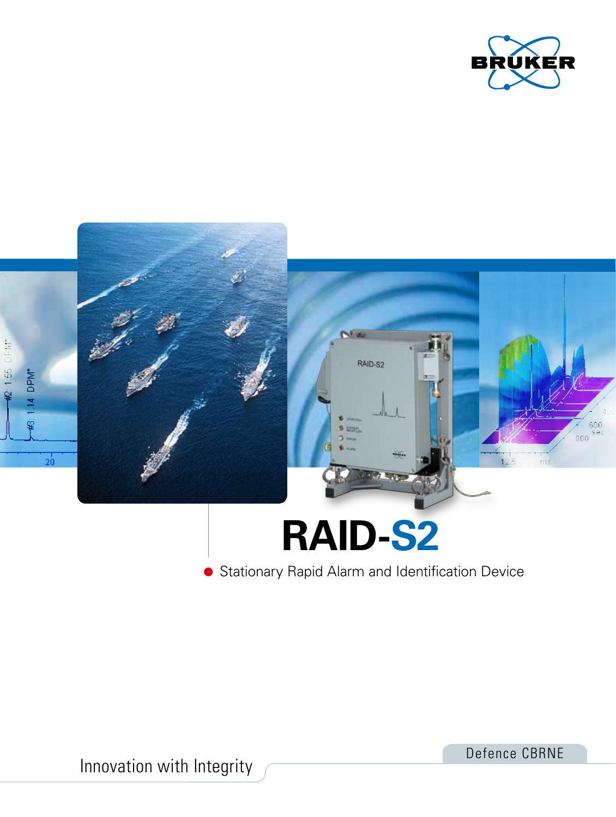



Innovation with Integrity

Defence CBRNE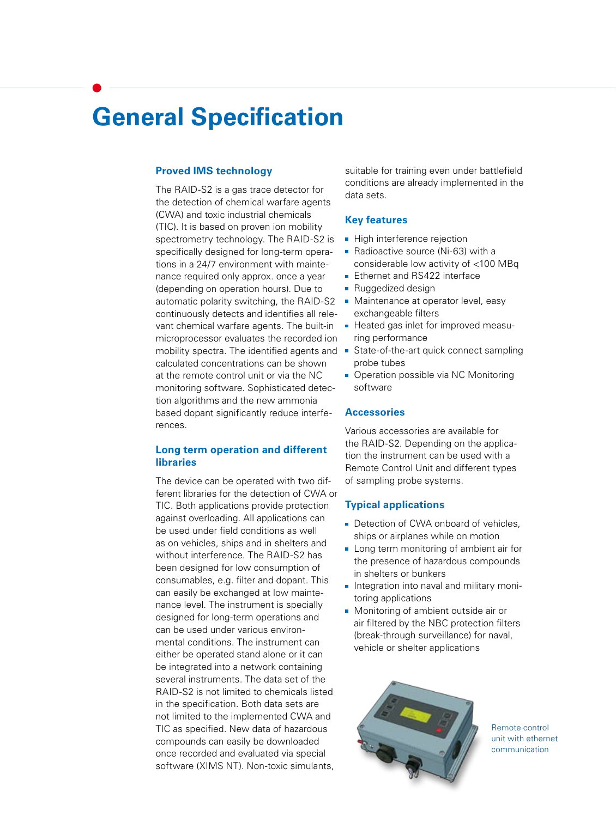# **General Specification**

#### **Proved IMS technology**

The RAID-S2 is a gas trace detector for the detection of chemical warfare agents (CWA) and toxic industrial chemicals (TIC). It is based on proven ion mobility spectrometry technology. The RAID-S2 is specifically designed for long-term operations in a 24/7 environment with maintenance required only approx. once a year (depending on operation hours). Due to automatic polarity switching, the RAID-S2 continuously detects and identifies all relevant chemical warfare agents. The built-in microprocessor evaluates the recorded ion mobility spectra. The identified agents and State-of-the-art quick connect sampling calculated concentrations can be shown at the remote control unit or via the NC monitoring software. Sophisticated detection algorithms and the new ammonia based dopant significantly reduce interferences.

# **Long term operation and different libraries**

The device can be operated with two different libraries for the detection of CWA or TIC. Both applications provide protection against overloading. All applications can be used under field conditions as well as on vehicles, ships and in shelters and without interference. The RAID-S2 has been designed for low consumption of consumables, e.g. filter and dopant. This can easily be exchanged at low maintenance level. The instrument is specially designed for long-term operations and can be used under various environmental conditions. The instrument can either be operated stand alone or it can be integrated into a network containing several instruments. The data set of the RAID-S2 is not limited to chemicals listed in the specification. Both data sets are not limited to the implemented CWA and TIC as specified. New data of hazardous compounds can easily be downloaded once recorded and evaluated via special software (XIMS NT). Non-toxic simulants,

suitable for training even under battlefield conditions are already implemented in the data sets.

#### **Key features**

- **High interference rejection**
- Radioactive source (Ni-63) with a considerable low activity of <100 MBq
- **Ethernet and RS422 interface**
- **Ruggedized design**
- **Maintenance at operator level, easy** exchangeable filters
- Heated gas inlet for improved measuring performance
- probe tubes
- Operation possible via NC Monitoring software

#### **Accessories**

Various accessories are available for the RAID-S2. Depending on the application the instrument can be used with a Remote Control Unit and different types of sampling probe systems.

### **Typical applications**

- Detection of CWA onboard of vehicles. ships or airplanes while on motion
- **Long term monitoring of ambient air for** the presence of hazardous compounds in shelters or bunkers
- **Integration into naval and military moni**toring applications
- **Monitoring of ambient outside air or** air filtered by the NBC protection filters (break-through surveillance) for naval, vehicle or shelter applications



Remote control unit with ethernet communication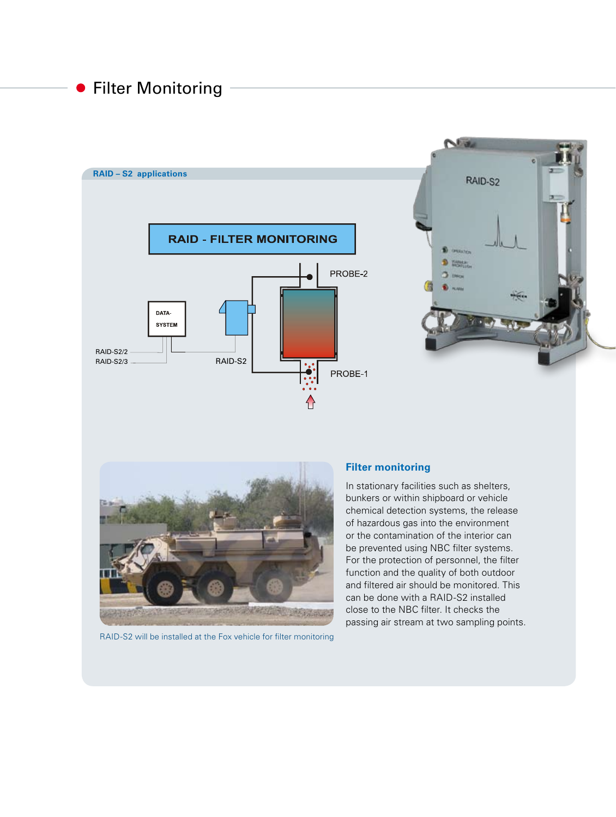# **• Filter Monitoring**







RAID-S2 will be installed at the Fox vehicle for filter monitoring

# **Filter monitoring**

In stationary facilities such as shelters, bunkers or within shipboard or vehicle chemical detection systems, the release of hazardous gas into the environment or the contamination of the interior can be prevented using NBC filter systems. For the protection of personnel, the filter function and the quality of both outdoor and filtered air should be monitored. This can be done with a RAID-S2 installed close to the NBC filter. It checks the passing air stream at two sampling points.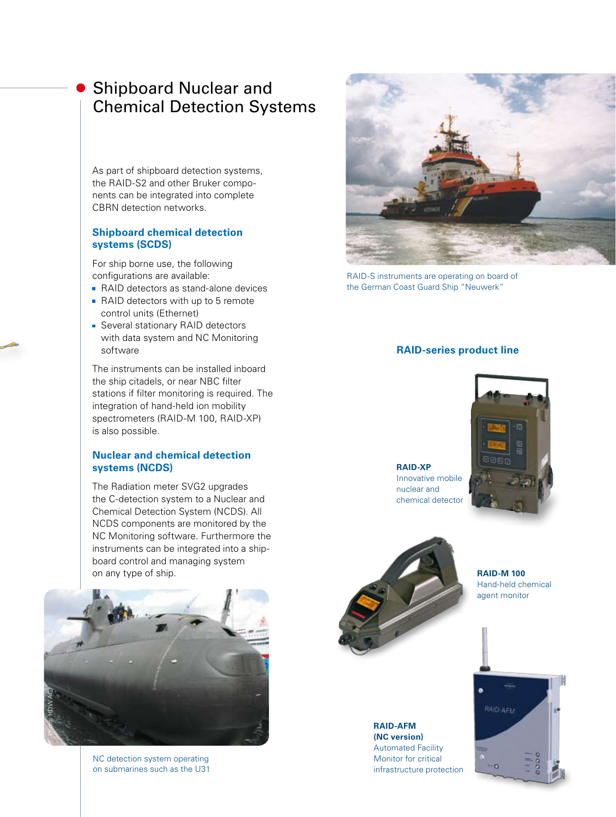# Shipboard Nuclear and Chemical Detection Systems

As part of shipboard detection systems, the RAID-S2 and other Bruker components can be integrated into complete CBRN detection networks.

# **Shipboard chemical detection systems (SCDS)**

For ship borne use, the following configurations are available:

- RAID detectors as stand-alone devices
- RAID detectors with up to 5 remote control units (Ethernet)
- **Several stationary RAID detectors** with data system and NC Monitoring software

The instruments can be installed inboard the ship citadels, or near NBC filter stations if filter monitoring is required. The integration of hand-held ion mobility spectrometers (RAID-M 100, RAID-XP) is also possible.

## **Nuclear and chemical detection systems (NCDS)**

The Radiation meter SVG2 upgrades the C-detection system to a Nuclear and Chemical Detection System (NCDS). All NCDS components are monitored by the NC Monitoring software. Furthermore the instruments can be integrated into a shipboard control and managing system on any type of ship.



NC detection system operating on submarines such as the U31



RAID-S instruments are operating on board of the German Coast Guard Ship "Neuwerk"

# **RAID-series product line**

#### **RAID-XP** Innovative mobile nuclear and chemical detector





**RAID-AFM (NC version)** Automated Facility Monitor for critical infrastructure protection

**RAID-M 100** Hand-held chemical agent monitor

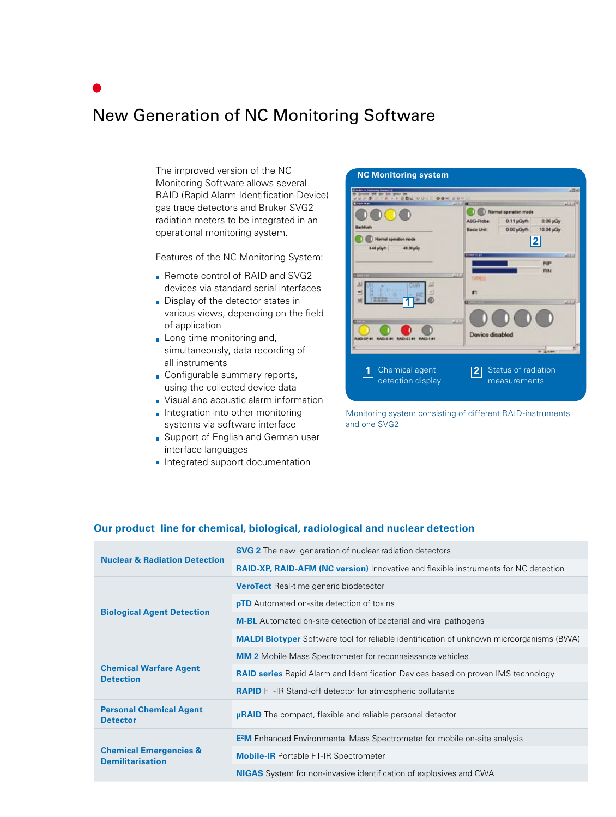# New Generation of NC Monitoring Software

The improved version of the NC Monitoring Software allows several RAID (Rapid Alarm Identification Device) gas trace detectors and Bruker SVG2 radiation meters to be integrated in an operational monitoring system.

Features of the NC Monitoring System:

- Remote control of RAID and SVG2 devices via standard serial interfaces
- Display of the detector states in various views, depending on the field of application
- **Long time monitoring and,** simultaneously, data recording of all instruments
- Configurable summary reports, using the collected device data
- Visual and acoustic alarm information
- $\blacksquare$  Integration into other monitoring systems via software interface
- **Support of English and German user** interface languages
- **Integrated support documentation**



Monitoring system consisting of different RAID-instruments and one SVG2

#### **Our product line for chemical, biological, radiological and nuclear detection**

| <b>Nuclear &amp; Radiation Detection</b>                     | <b>SVG 2</b> The new generation of nuclear radiation detectors                                  |
|--------------------------------------------------------------|-------------------------------------------------------------------------------------------------|
|                                                              | <b>RAID-XP, RAID-AFM (NC version)</b> Innovative and flexible instruments for NC detection      |
| <b>Biological Agent Detection</b>                            | <b>VeroTect</b> Real-time generic biodetector                                                   |
|                                                              | <b>pTD</b> Automated on-site detection of toxins                                                |
|                                                              | <b>M-BL</b> Automated on-site detection of bacterial and viral pathogens                        |
|                                                              | <b>MALDI Biotyper</b> Software tool for reliable identification of unknown microorganisms (BWA) |
| <b>Chemical Warfare Agent</b><br><b>Detection</b>            | <b>MM 2</b> Mobile Mass Spectrometer for reconnaissance vehicles                                |
|                                                              | <b>RAID series</b> Rapid Alarm and Identification Devices based on proven IMS technology        |
|                                                              | <b>RAPID</b> FT-IR Stand-off detector for atmospheric pollutants                                |
| <b>Personal Chemical Agent</b><br><b>Detector</b>            | <b>µRAID</b> The compact, flexible and reliable personal detector                               |
| <b>Chemical Emergencies &amp;</b><br><b>Demilitarisation</b> | <b>E<sup>2</sup>M</b> Enhanced Environmental Mass Spectrometer for mobile on-site analysis      |
|                                                              | <b>Mobile-IR</b> Portable FT-IR Spectrometer                                                    |
|                                                              | <b>NIGAS</b> System for non-invasive identification of explosives and CWA                       |